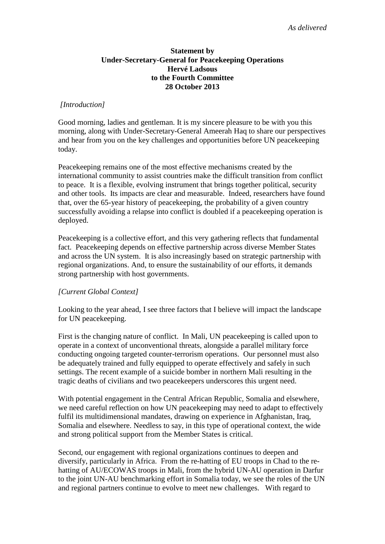## **Statement by Under-Secretary-General for Peacekeeping Operations Hervé Ladsous to the Fourth Committee 28 October 2013**

#### *[Introduction]*

Good morning, ladies and gentleman. It is my sincere pleasure to be with you this morning, along with Under-Secretary-General Ameerah Haq to share our perspectives and hear from you on the key challenges and opportunities before UN peacekeeping today.

Peacekeeping remains one of the most effective mechanisms created by the international community to assist countries make the difficult transition from conflict to peace. It is a flexible, evolving instrument that brings together political, security and other tools. Its impacts are clear and measurable. Indeed, researchers have found that, over the 65-year history of peacekeeping, the probability of a given country successfully avoiding a relapse into conflict is doubled if a peacekeeping operation is deployed.

Peacekeeping is a collective effort, and this very gathering reflects that fundamental fact. Peacekeeping depends on effective partnership across diverse Member States and across the UN system. It is also increasingly based on strategic partnership with regional organizations. And, to ensure the sustainability of our efforts, it demands strong partnership with host governments.

## *[Current Global Context]*

Looking to the year ahead, I see three factors that I believe will impact the landscape for UN peacekeeping.

First is the changing nature of conflict. In Mali, UN peacekeeping is called upon to operate in a context of unconventional threats, alongside a parallel military force conducting ongoing targeted counter-terrorism operations. Our personnel must also be adequately trained and fully equipped to operate effectively and safely in such settings. The recent example of a suicide bomber in northern Mali resulting in the tragic deaths of civilians and two peacekeepers underscores this urgent need.

With potential engagement in the Central African Republic, Somalia and elsewhere, we need careful reflection on how UN peacekeeping may need to adapt to effectively fulfil its multidimensional mandates, drawing on experience in Afghanistan, Iraq, Somalia and elsewhere. Needless to say, in this type of operational context, the wide and strong political support from the Member States is critical.

Second, our engagement with regional organizations continues to deepen and diversify, particularly in Africa. From the re-hatting of EU troops in Chad to the rehatting of AU/ECOWAS troops in Mali, from the hybrid UN-AU operation in Darfur to the joint UN-AU benchmarking effort in Somalia today, we see the roles of the UN and regional partners continue to evolve to meet new challenges. With regard to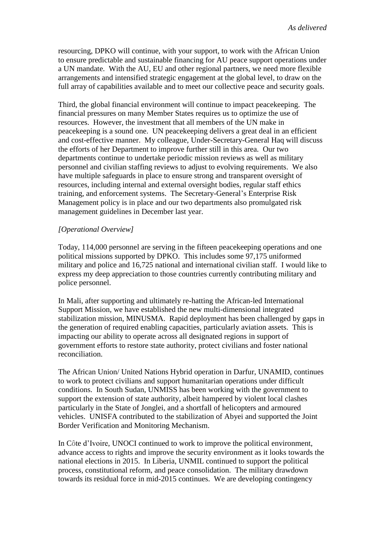resourcing, DPKO will continue, with your support, to work with the African Union to ensure predictable and sustainable financing for AU peace support operations under a UN mandate. With the AU, EU and other regional partners, we need more flexible arrangements and intensified strategic engagement at the global level, to draw on the full array of capabilities available and to meet our collective peace and security goals.

Third, the global financial environment will continue to impact peacekeeping. The financial pressures on many Member States requires us to optimize the use of resources. However, the investment that all members of the UN make in peacekeeping is a sound one. UN peacekeeping delivers a great deal in an efficient and cost-effective manner. My colleague, Under-Secretary-General Haq will discuss the efforts of her Department to improve further still in this area. Our two departments continue to undertake periodic mission reviews as well as military personnel and civilian staffing reviews to adjust to evolving requirements. We also have multiple safeguards in place to ensure strong and transparent oversight of resources, including internal and external oversight bodies, regular staff ethics training, and enforcement systems. The Secretary-General's Enterprise Risk Management policy is in place and our two departments also promulgated risk management guidelines in December last year.

# *[Operational Overview]*

Today, 114,000 personnel are serving in the fifteen peacekeeping operations and one political missions supported by DPKO. This includes some 97,175 uniformed military and police and 16,725 national and international civilian staff. I would like to express my deep appreciation to those countries currently contributing military and police personnel.

In Mali, after supporting and ultimately re-hatting the African-led International Support Mission, we have established the new multi-dimensional integrated stabilization mission, MINUSMA. Rapid deployment has been challenged by gaps in the generation of required enabling capacities, particularly aviation assets. This is impacting our ability to operate across all designated regions in support of government efforts to restore state authority, protect civilians and foster national reconciliation.

The African Union/ United Nations Hybrid operation in Darfur, UNAMID, continues to work to protect civilians and support humanitarian operations under difficult conditions. In South Sudan, UNMISS has been working with the government to support the extension of state authority, albeit hampered by violent local clashes particularly in the State of Jonglei, and a shortfall of helicopters and armoured vehicles. UNISFA contributed to the stabilization of Abyei and supported the Joint Border Verification and Monitoring Mechanism.

In Côte d'Ivoire, UNOCI continued to work to improve the political environment, advance access to rights and improve the security environment as it looks towards the national elections in 2015. In Liberia, UNMIL continued to support the political process, constitutional reform, and peace consolidation. The military drawdown towards its residual force in mid-2015 continues. We are developing contingency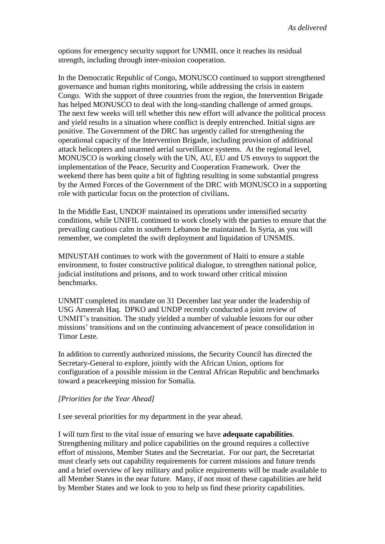options for emergency security support for UNMIL once it reaches its residual strength, including through inter-mission cooperation.

In the Democratic Republic of Congo, MONUSCO continued to support strengthened governance and human rights monitoring, while addressing the crisis in eastern Congo. With the support of three countries from the region, the Intervention Brigade has helped MONUSCO to deal with the long-standing challenge of armed groups. The next few weeks will tell whether this new effort will advance the political process and yield results in a situation where conflict is deeply entrenched. Initial signs are positive. The Government of the DRC has urgently called for strengthening the operational capacity of the Intervention Brigade, including provision of additional attack helicopters and unarmed aerial surveillance systems. At the regional level, MONUSCO is working closely with the UN, AU, EU and US envoys to support the implementation of the Peace, Security and Cooperation Framework. Over the weekend there has been quite a bit of fighting resulting in some substantial progress by the Armed Forces of the Government of the DRC with MONUSCO in a supporting role with particular focus on the protection of civilians.

In the Middle East, UNDOF maintained its operations under intensified security conditions, while UNIFIL continued to work closely with the parties to ensure that the prevailing cautious calm in southern Lebanon be maintained. In Syria, as you will remember, we completed the swift deployment and liquidation of UNSMIS.

MINUSTAH continues to work with the government of Haiti to ensure a stable environment, to foster constructive political dialogue, to strengthen national police, judicial institutions and prisons, and to work toward other critical mission benchmarks.

UNMIT completed its mandate on 31 December last year under the leadership of USG Ameerah Haq. DPKO and UNDP recently conducted a joint review of UNMIT's transition. The study yielded a number of valuable lessons for our other missions' transitions and on the continuing advancement of peace consolidation in Timor Leste.

In addition to currently authorized missions, the Security Council has directed the Secretary-General to explore, jointly with the African Union, options for configuration of a possible mission in the Central African Republic and benchmarks toward a peacekeeping mission for Somalia.

## *[Priorities for the Year Ahead]*

I see several priorities for my department in the year ahead.

I will turn first to the vital issue of ensuring we have **adequate capabilities**. Strengthening military and police capabilities on the ground requires a collective effort of missions, Member States and the Secretariat. For our part, the Secretariat must clearly sets out capability requirements for current missions and future trends and a brief overview of key military and police requirements will be made available to all Member States in the near future. Many, if not most of these capabilities are held by Member States and we look to you to help us find these priority capabilities.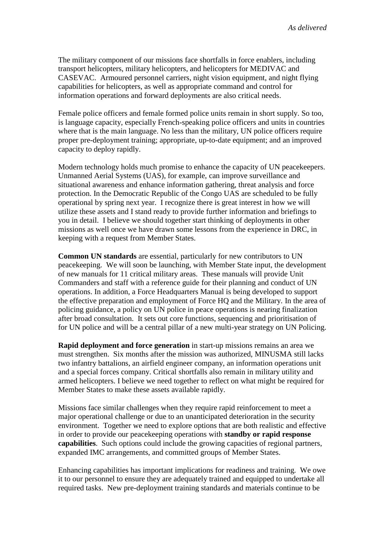The military component of our missions face shortfalls in force enablers, including transport helicopters, military helicopters, and helicopters for MEDIVAC and CASEVAC. Armoured personnel carriers, night vision equipment, and night flying capabilities for helicopters, as well as appropriate command and control for information operations and forward deployments are also critical needs.

Female police officers and female formed police units remain in short supply. So too, is language capacity, especially French-speaking police officers and units in countries where that is the main language. No less than the military, UN police officers require proper pre-deployment training; appropriate, up-to-date equipment; and an improved capacity to deploy rapidly.

Modern technology holds much promise to enhance the capacity of UN peacekeepers. Unmanned Aerial Systems (UAS), for example, can improve surveillance and situational awareness and enhance information gathering, threat analysis and force protection. In the Democratic Republic of the Congo UAS are scheduled to be fully operational by spring next year. I recognize there is great interest in how we will utilize these assets and I stand ready to provide further information and briefings to you in detail. I believe we should together start thinking of deployments in other missions as well once we have drawn some lessons from the experience in DRC, in keeping with a request from Member States.

**Common UN standards** are essential, particularly for new contributors to UN peacekeeping. We will soon be launching, with Member State input, the development of new manuals for 11 critical military areas. These manuals will provide Unit Commanders and staff with a reference guide for their planning and conduct of UN operations. In addition, a Force Headquarters Manual is being developed to support the effective preparation and employment of Force HQ and the Military. In the area of policing guidance, a policy on UN police in peace operations is nearing finalization after broad consultation. It sets out core functions, sequencing and prioritisation of for UN police and will be a central pillar of a new multi-year strategy on UN Policing.

**Rapid deployment and force generation** in start-up missions remains an area we must strengthen. Six months after the mission was authorized, MINUSMA still lacks two infantry battalions, an airfield engineer company, an information operations unit and a special forces company. Critical shortfalls also remain in military utility and armed helicopters. I believe we need together to reflect on what might be required for Member States to make these assets available rapidly.

Missions face similar challenges when they require rapid reinforcement to meet a major operational challenge or due to an unanticipated deterioration in the security environment. Together we need to explore options that are both realistic and effective in order to provide our peacekeeping operations with **standby or rapid response capabilities**. Such options could include the growing capacities of regional partners, expanded IMC arrangements, and committed groups of Member States.

Enhancing capabilities has important implications for readiness and training. We owe it to our personnel to ensure they are adequately trained and equipped to undertake all required tasks. New pre-deployment training standards and materials continue to be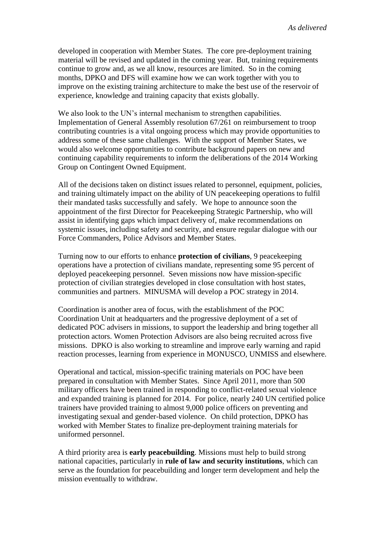developed in cooperation with Member States. The core pre-deployment training material will be revised and updated in the coming year. But, training requirements continue to grow and, as we all know, resources are limited. So in the coming months, DPKO and DFS will examine how we can work together with you to improve on the existing training architecture to make the best use of the reservoir of experience, knowledge and training capacity that exists globally.

We also look to the UN's internal mechanism to strengthen capabilities. Implementation of General Assembly resolution 67/261 on reimbursement to troop contributing countries is a vital ongoing process which may provide opportunities to address some of these same challenges. With the support of Member States, we would also welcome opportunities to contribute background papers on new and continuing capability requirements to inform the deliberations of the 2014 Working Group on Contingent Owned Equipment.

All of the decisions taken on distinct issues related to personnel, equipment, policies, and training ultimately impact on the ability of UN peacekeeping operations to fulfil their mandated tasks successfully and safely. We hope to announce soon the appointment of the first Director for Peacekeeping Strategic Partnership, who will assist in identifying gaps which impact delivery of, make recommendations on systemic issues, including safety and security, and ensure regular dialogue with our Force Commanders, Police Advisors and Member States.

Turning now to our efforts to enhance **protection of civilians**, 9 peacekeeping operations have a protection of civilians mandate, representing some 95 percent of deployed peacekeeping personnel. Seven missions now have mission-specific protection of civilian strategies developed in close consultation with host states, communities and partners. MINUSMA will develop a POC strategy in 2014.

Coordination is another area of focus, with the establishment of the POC Coordination Unit at headquarters and the progressive deployment of a set of dedicated POC advisers in missions, to support the leadership and bring together all protection actors. Women Protection Advisors are also being recruited across five missions. DPKO is also working to streamline and improve early warning and rapid reaction processes, learning from experience in MONUSCO, UNMISS and elsewhere.

Operational and tactical, mission-specific training materials on POC have been prepared in consultation with Member States. Since April 2011, more than 500 military officers have been trained in responding to conflict-related sexual violence and expanded training is planned for 2014. For police, nearly 240 UN certified police trainers have provided training to almost 9,000 police officers on preventing and investigating sexual and gender-based violence. On child protection, DPKO has worked with Member States to finalize pre-deployment training materials for uniformed personnel.

A third priority area is **early peacebuilding**. Missions must help to build strong national capacities, particularly in **rule of law and security institutions**, which can serve as the foundation for peacebuilding and longer term development and help the mission eventually to withdraw.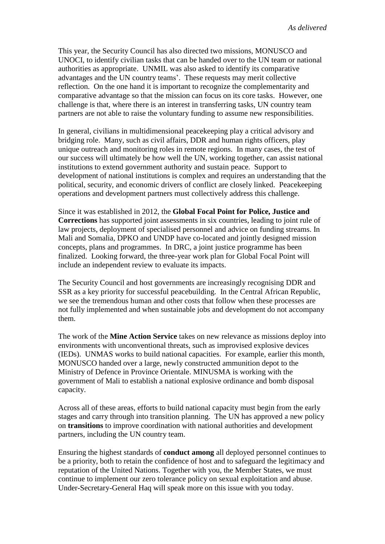This year, the Security Council has also directed two missions, MONUSCO and UNOCI, to identify civilian tasks that can be handed over to the UN team or national authorities as appropriate. UNMIL was also asked to identify its comparative advantages and the UN country teams'. These requests may merit collective reflection. On the one hand it is important to recognize the complementarity and comparative advantage so that the mission can focus on its core tasks. However, one challenge is that, where there is an interest in transferring tasks, UN country team partners are not able to raise the voluntary funding to assume new responsibilities.

In general, civilians in multidimensional peacekeeping play a critical advisory and bridging role. Many, such as civil affairs, DDR and human rights officers, play unique outreach and monitoring roles in remote regions. In many cases, the test of our success will ultimately be how well the UN, working together, can assist national institutions to extend government authority and sustain peace. Support to development of national institutions is complex and requires an understanding that the political, security, and economic drivers of conflict are closely linked. Peacekeeping operations and development partners must collectively address this challenge.

Since it was established in 2012, the **Global Focal Point for Police, Justice and Corrections** has supported joint assessments in six countries, leading to joint rule of law projects, deployment of specialised personnel and advice on funding streams. In Mali and Somalia, DPKO and UNDP have co-located and jointly designed mission concepts, plans and programmes. In DRC, a joint justice programme has been finalized. Looking forward, the three-year work plan for Global Focal Point will include an independent review to evaluate its impacts.

The Security Council and host governments are increasingly recognising DDR and SSR as a key priority for successful peacebuilding. In the Central African Republic, we see the tremendous human and other costs that follow when these processes are not fully implemented and when sustainable jobs and development do not accompany them.

The work of the **Mine Action Service** takes on new relevance as missions deploy into environments with unconventional threats, such as improvised explosive devices (IEDs). UNMAS works to build national capacities. For example, earlier this month, MONUSCO handed over a large, newly constructed ammunition depot to the Ministry of Defence in Province Orientale. MINUSMA is working with the government of Mali to establish a national explosive ordinance and bomb disposal capacity.

Across all of these areas, efforts to build national capacity must begin from the early stages and carry through into transition planning. The UN has approved a new policy on **transitions** to improve coordination with national authorities and development partners, including the UN country team.

Ensuring the highest standards of **conduct among** all deployed personnel continues to be a priority, both to retain the confidence of host and to safeguard the legitimacy and reputation of the United Nations. Together with you, the Member States, we must continue to implement our zero tolerance policy on sexual exploitation and abuse. Under-Secretary-General Haq will speak more on this issue with you today.